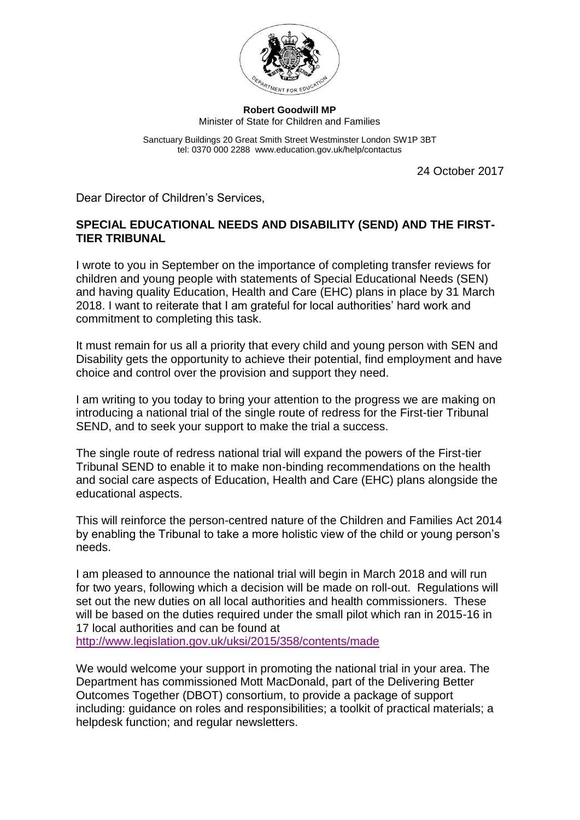

**Robert Goodwill MP** Minister of State for Children and Families

Sanctuary Buildings 20 Great Smith Street Westminster London SW1P 3BT tel: 0370 000 2288 www.education.gov.uk/help/contactus

24 October 2017

Dear Director of Children's Services,

## **SPECIAL EDUCATIONAL NEEDS AND DISABILITY (SEND) AND THE FIRST-TIER TRIBUNAL**

I wrote to you in September on the importance of completing transfer reviews for children and young people with statements of Special Educational Needs (SEN) and having quality Education, Health and Care (EHC) plans in place by 31 March 2018. I want to reiterate that I am grateful for local authorities' hard work and commitment to completing this task.

It must remain for us all a priority that every child and young person with SEN and Disability gets the opportunity to achieve their potential, find employment and have choice and control over the provision and support they need.

I am writing to you today to bring your attention to the progress we are making on introducing a national trial of the single route of redress for the First-tier Tribunal SEND, and to seek your support to make the trial a success.

The single route of redress national trial will expand the powers of the First-tier Tribunal SEND to enable it to make non-binding recommendations on the health and social care aspects of Education, Health and Care (EHC) plans alongside the educational aspects.

This will reinforce the person-centred nature of the Children and Families Act 2014 by enabling the Tribunal to take a more holistic view of the child or young person's needs.

I am pleased to announce the national trial will begin in March 2018 and will run for two years, following which a decision will be made on roll-out. Regulations will set out the new duties on all local authorities and health commissioners. These will be based on the duties required under the small pilot which ran in 2015-16 in 17 local authorities and can be found at <http://www.legislation.gov.uk/uksi/2015/358/contents/made>

We would welcome your support in promoting the national trial in your area. The Department has commissioned Mott MacDonald, part of the Delivering Better Outcomes Together (DBOT) consortium, to provide a package of support including: guidance on roles and responsibilities; a toolkit of practical materials; a helpdesk function; and regular newsletters.